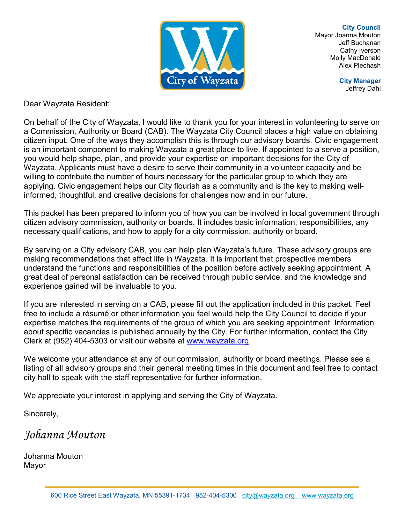

**City Council** Mayor Joanna Mouton Jeff Buchanan Cathy Iverson Molly MacDonald Alex Plechash

> **City Manager** Jeffrey Dahl

Dear Wayzata Resident:

On behalf of the City of Wayzata, I would like to thank you for your interest in volunteering to serve on a Commission, Authority or Board (CAB). The Wayzata City Council places a high value on obtaining citizen input. One of the ways they accomplish this is through our advisory boards. Civic engagement is an important component to making Wayzata a great place to live. If appointed to a serve a position, you would help shape, plan, and provide your expertise on important decisions for the City of Wayzata. Applicants must have a desire to serve their community in a volunteer capacity and be willing to contribute the number of hours necessary for the particular group to which they are applying. Civic engagement helps our City flourish as a community and is the key to making wellinformed, thoughtful, and creative decisions for challenges now and in our future.

This packet has been prepared to inform you of how you can be involved in local government through citizen advisory commission, authority or boards. It includes basic information, responsibilities, any necessary qualifications, and how to apply for a city commission, authority or board.

By serving on a City advisory CAB, you can help plan Wayzata's future. These advisory groups are making recommendations that affect life in Wayzata. It is important that prospective members understand the functions and responsibilities of the position before actively seeking appointment. A great deal of personal satisfaction can be received through public service, and the knowledge and experience gained will be invaluable to you.

If you are interested in serving on a CAB, please fill out the application included in this packet. Feel free to include a résumé or other information you feel would help the City Council to decide if your expertise matches the requirements of the group of which you are seeking appointment. Information about specific vacancies is published annually by the City. For further information, contact the City Clerk at (952) 404-5303 or visit our website at [www.wayzata.org.](http://www.wayzata.org/)

We welcome your attendance at any of our commission, authority or board meetings. Please see a listing of all advisory groups and their general meeting times in this document and feel free to contact city hall to speak with the staff representative for further information.

We appreciate your interest in applying and serving the City of Wayzata.

Sincerely,

*Johanna Mouton*

Johanna Mouton Mayor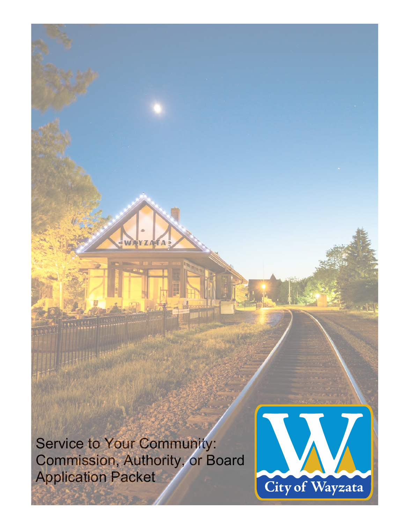Service to Your Community: Commission, Authority, or Board Application Packet

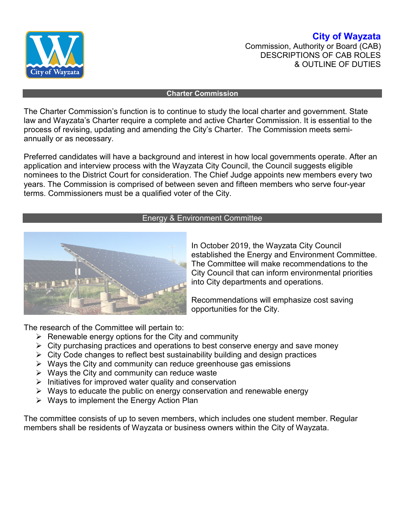

**City of Wayzata** Commission, Authority or Board (CAB) DESCRIPTIONS OF CAB ROLES & OUTLINE OF DUTIES

#### **Charter Commission**

The Charter Commission's function is to continue to study the local charter and government. State law and Wayzata's Charter require a complete and active Charter Commission. It is essential to the process of revising, updating and amending the City's Charter. The Commission meets semiannually or as necessary.

Preferred candidates will have a background and interest in how local governments operate. After an application and interview process with the Wayzata City Council, the Council suggests eligible nominees to the District Court for consideration. The Chief Judge appoints new members every two years. The Commission is comprised of between seven and fifteen members who serve four-year terms. Commissioners must be a qualified voter of the City.

### Energy & Environment Committee



In October 2019, the Wayzata City Council established the Energy and Environment Committee. The Committee will make recommendations to the City Council that can inform environmental priorities into City departments and operations.

Recommendations will emphasize cost saving opportunities for the City.

The research of the Committee will pertain to:

- $\triangleright$  Renewable energy options for the City and community
- $\triangleright$  City purchasing practices and operations to best conserve energy and save money
- $\triangleright$  City Code changes to reflect best sustainability building and design practices
- $\triangleright$  Ways the City and community can reduce greenhouse gas emissions
- $\triangleright$  Ways the City and community can reduce waste
- $\triangleright$  Initiatives for improved water quality and conservation
- $\triangleright$  Ways to educate the public on energy conservation and renewable energy
- $\triangleright$  Ways to implement the Energy Action Plan

The committee consists of up to seven members, which includes one student member. Regular members shall be residents of Wayzata or business owners within the City of Wayzata.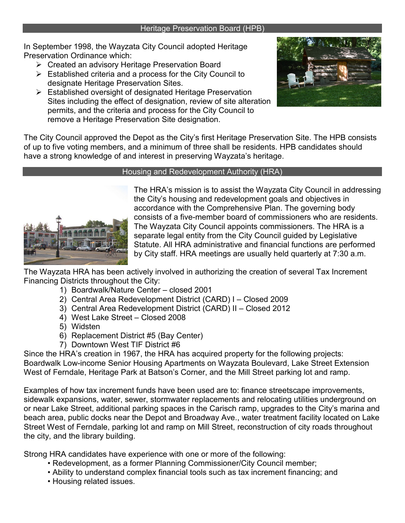### Heritage Preservation Board (HPB)

In September 1998, the Wayzata City Council adopted Heritage Preservation Ordinance which:

- Created an advisory Heritage Preservation Board
- $\triangleright$  Established criteria and a process for the City Council to designate Heritage Preservation Sites.
- Established oversight of designated Heritage Preservation Sites including the effect of designation, review of site alteration permits, and the criteria and process for the City Council to remove a Heritage Preservation Site designation.



The City Council approved the Depot as the City's first Heritage Preservation Site. The HPB consists of up to five voting members, and a minimum of three shall be residents. HPB candidates should have a strong knowledge of and interest in preserving Wayzata's heritage.



## Housing and Redevelopment Authority (HRA)

The HRA's mission is to assist the Wayzata City Council in addressing the City's housing and redevelopment goals and objectives in accordance with the Comprehensive Plan. The governing body consists of a five-member board of commissioners who are residents. The Wayzata City Council appoints commissioners. The HRA is a separate legal entity from the City Council guided by Legislative Statute. All HRA administrative and financial functions are performed by City staff. HRA meetings are usually held quarterly at 7:30 a.m.

The Wayzata HRA has been actively involved in authorizing the creation of several Tax Increment Financing Districts throughout the City:

- 1) Boardwalk/Nature Center closed 2001
- 2) Central Area Redevelopment District (CARD) I Closed 2009
- 3) Central Area Redevelopment District (CARD) II Closed 2012
- 4) West Lake Street Closed 2008
- 5) Widsten
- 6) Replacement District #5 (Bay Center)
- 7) Downtown West TIF District #6

Since the HRA's creation in 1967, the HRA has acquired property for the following projects: Boardwalk Low-income Senior Housing Apartments on Wayzata Boulevard, Lake Street Extension West of Ferndale, Heritage Park at Batson's Corner, and the Mill Street parking lot and ramp.

Examples of how tax increment funds have been used are to: finance streetscape improvements, sidewalk expansions, water, sewer, stormwater replacements and relocating utilities underground on or near Lake Street, additional parking spaces in the Carisch ramp, upgrades to the City's marina and beach area, public docks near the Depot and Broadway Ave., water treatment facility located on Lake Street West of Ferndale, parking lot and ramp on Mill Street, reconstruction of city roads throughout the city, and the library building.

Strong HRA candidates have experience with one or more of the following:

- Redevelopment, as a former Planning Commissioner/City Council member;
- Ability to understand complex financial tools such as tax increment financing; and
- Housing related issues.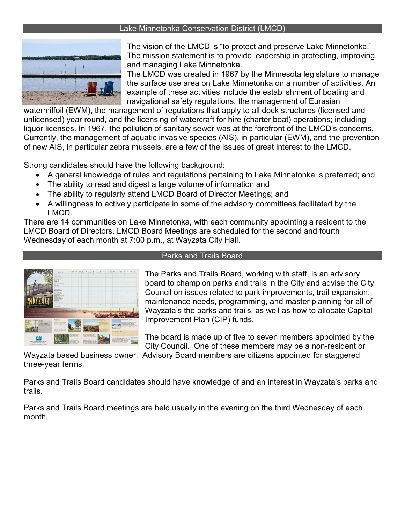### Lake Minnetonka Conservation District (LMCD)



The vision of the LMCD is "to protect and preserve Lake Minnetonka." The mission statement is to provide leadership in protecting, improving, and managing Lake Minnetonka.

The LMCD was created in 1967 by the Minnesota legislature to manage the surface use area on Lake Minnetonka on a number of activities. An example of these activities include the establishment of boating and navigational safety regulations, the management of Eurasian

watermilfoil (EWM), the management of regulations that apply to all dock structures (licensed and unlicensed) year round, and the licensing of watercraft for hire (charter boat) operations; including liquor licenses. In 1967, the pollution of sanitary sewer was at the forefront of the LMCD's concerns. Currently, the management of aquatic invasive species (AIS), in particular (EWM), and the prevention of new AIS, in particular zebra mussels, are a few of the issues of great interest to the LMCD.

Strong candidates should have the following background:

- A general knowledge of rules and regulations pertaining to Lake Minnetonka is preferred; and
- The ability to read and digest a large volume of information and
- The ability to regularly attend LMCD Board of Director Meetings; and
- A willingness to actively participate in some of the advisory committees facilitated by the LMCD.

There are 14 communities on Lake Minnetonka, with each community appointing a resident to the LMCD Board of Directors. LMCD Board Meetings are scheduled for the second and fourth Wednesday of each month at 7:00 p.m., at Wayzata City Hall.



### Parks and Trails Board

The Parks and Trails Board, working with staff, is an advisory board to champion parks and trails in the City and advise the City Council on issues related to park improvements, trail expansion, maintenance needs, programming, and master planning for all of Wayzata's the parks and trails, as well as how to allocate Capital Improvement Plan (CIP) funds.

The board is made up of five to seven members appointed by the City Council. One of these members may be a non-resident or

Wayzata based business owner. Advisory Board members are citizens appointed for staggered three-year terms.

Parks and Trails Board candidates should have knowledge of and an interest in Wayzata's parks and trails.

Parks and Trails Board meetings are held usually in the evening on the third Wednesday of each month.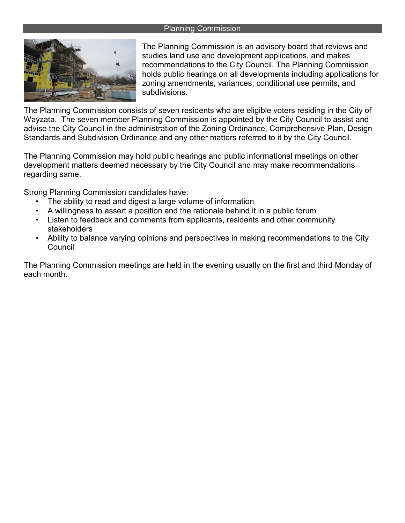### Planning Commission



The Planning Commission is an advisory board that reviews and studies land use and development applications, and makes recommendations to the City Council. The Planning Commission holds public hearings on all developments including applications for zoning amendments, variances, conditional use permits, and subdivisions.

The Planning Commission consists of seven residents who are eligible voters residing in the City of Wayzata. The seven member Planning Commission is appointed by the City Council to assist and advise the City Council in the administration of the Zoning Ordinance, Comprehensive Plan, Design Standards and Subdivision Ordinance and any other matters referred to it by the City Council.

The Planning Commission may hold public hearings and public informational meetings on other development matters deemed necessary by the City Council and may make recommendations regarding same.

Strong Planning Commission candidates have:

- The ability to read and digest a large volume of information
- A willingness to assert a position and the rationale behind it in a public forum
- Listen to feedback and comments from applicants, residents and other community stakeholders
- Ability to balance varying opinions and perspectives in making recommendations to the City Council

The Planning Commission meetings are held in the evening usually on the first and third Monday of each month.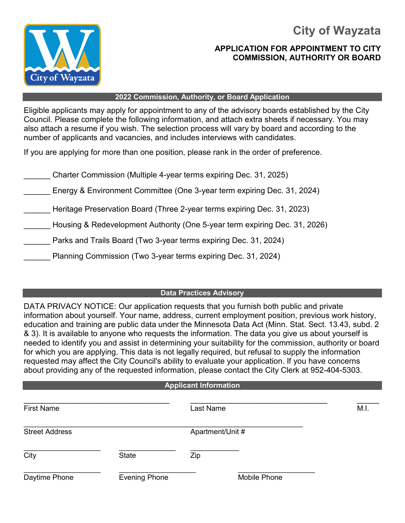**City of Wayzata**



## **APPLICATION FOR APPOINTMENT TO CITY COMMISSION, AUTHORITY OR BOARD**

#### **2022 Commission, Authority, or Board Application**

Eligible applicants may apply for appointment to any of the advisory boards established by the City Council. Please complete the following information, and attach extra sheets if necessary. You may also attach a resume if you wish. The selection process will vary by board and according to the number of applicants and vacancies, and includes interviews with candidates.

If you are applying for more than one position, please rank in the order of preference.

\_\_\_\_\_\_ Charter Commission (Multiple 4-year terms expiring Dec. 31, 2025)

Energy & Environment Committee (One 3-year term expiring Dec. 31, 2024)

\_\_\_\_\_\_ Heritage Preservation Board (Three 2-year terms expiring Dec. 31, 2023)

Housing & Redevelopment Authority (One 5-year term expiring Dec. 31, 2026)

Parks and Trails Board (Two 3-year terms expiring Dec. 31, 2024)

\_\_\_\_\_\_ Planning Commission (Two 3-year terms expiring Dec. 31, 2024)

### **Data Practices Advisory**

DATA PRIVACY NOTICE: Our application requests that you furnish both public and private information about yourself. Your name, address, current employment position, previous work history, education and training are public data under the Minnesota Data Act (Minn. Stat. Sect. 13.43, subd. 2 & 3). It is available to anyone who requests the information. The data you give us about yourself is needed to identify you and assist in determining your suitability for the commission, authority or board for which you are applying. This data is not legally required, but refusal to supply the information requested may affect the City Council's ability to evaluate your application. If you have concerns about providing any of the requested information, please contact the City Clerk at 952-404-5303.

### **Applicant Information**

| <b>First Name</b>     |                      | Last Name        | M.I. |
|-----------------------|----------------------|------------------|------|
| <b>Street Address</b> |                      | Apartment/Unit # |      |
| City                  | <b>State</b>         | Zip              |      |
| Daytime Phone         | <b>Evening Phone</b> | Mobile Phone     |      |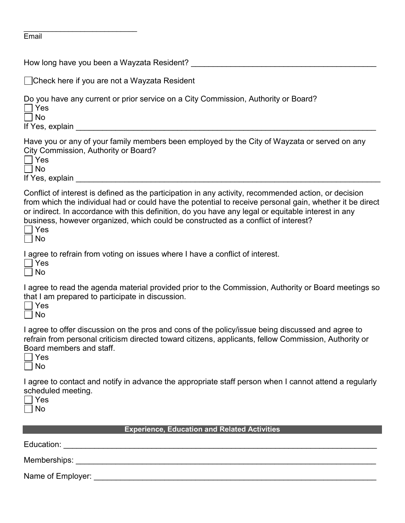| <b>Email</b> |  |  |
|--------------|--|--|

| □ Check here if you are not a Wayzata Resident                                                                                                                                                                                                                                                                                                                                                                              |
|-----------------------------------------------------------------------------------------------------------------------------------------------------------------------------------------------------------------------------------------------------------------------------------------------------------------------------------------------------------------------------------------------------------------------------|
| Do you have any current or prior service on a City Commission, Authority or Board?<br>$\rfloor$ Yes<br>No<br>If Yes, explain substantial and the state of the state of the state of the state of the state of the state of the state of the state of the state of the state of the state of the state of the state of the state of the stat                                                                                 |
| Have you or any of your family members been employed by the City of Wayzata or served on any<br>City Commission, Authority or Board?<br>∣ Yes<br>No                                                                                                                                                                                                                                                                         |
| Conflict of interest is defined as the participation in any activity, recommended action, or decision<br>from which the individual had or could have the potential to receive personal gain, whether it be direct<br>or indirect. In accordance with this definition, do you have any legal or equitable interest in any<br>business, however organized, which could be constructed as a conflict of interest?<br>Yes<br>No |
| I agree to refrain from voting on issues where I have a conflict of interest.<br>Yes<br>No                                                                                                                                                                                                                                                                                                                                  |
| I agree to read the agenda material provided prior to the Commission, Authority or Board meetings so<br>that I am prepared to participate in discussion.<br>Yes<br>  No                                                                                                                                                                                                                                                     |
| I agree to offer discussion on the pros and cons of the policy/issue being discussed and agree to<br>refrain from personal criticism directed toward citizens, applicants, fellow Commission, Authority or<br>Board members and staff.<br>Yes<br>No                                                                                                                                                                         |
| I agree to contact and notify in advance the appropriate staff person when I cannot attend a regularly<br>scheduled meeting.<br>Yes<br>No                                                                                                                                                                                                                                                                                   |
| <b>Experience, Education and Related Activities</b>                                                                                                                                                                                                                                                                                                                                                                         |
|                                                                                                                                                                                                                                                                                                                                                                                                                             |
|                                                                                                                                                                                                                                                                                                                                                                                                                             |
|                                                                                                                                                                                                                                                                                                                                                                                                                             |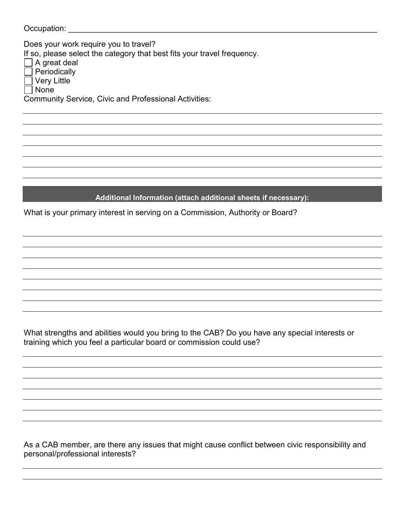| Occupation: |  |  |  |  |  |  |  |
|-------------|--|--|--|--|--|--|--|
|             |  |  |  |  |  |  |  |

Does your work require you to travel? If so, please select the category that best fits your travel frequency.  $\Box$  A great deal Periodically Very Little None

Community Service, Civic and Professional Activities:

## **Additional Information (attach additional sheets if necessary):**

What is your primary interest in serving on a Commission, Authority or Board?

What strengths and abilities would you bring to the CAB? Do you have any special interests or training which you feel a particular board or commission could use?

As a CAB member, are there any issues that might cause conflict between civic responsibility and personal/professional interests?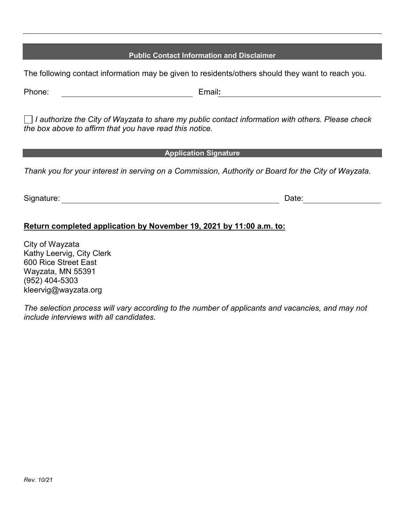# **Public Contact Information and Disclaimer**

The following contact information may be given to residents/others should they want to reach you.

*I authorize the City of Wayzata to share my public contact information with others. Please check the box above to affirm that you have read this notice.*

### **Application Signature**

*Thank you for your interest in serving on a Commission, Authority or Board for the City of Wayzata.*

Signature: **Date: Contract Contract Contract Contract Contract Contract Contract Contract Contract Contract Contract Contract Contract Contract Contract Contract Contract Contract Contract Contract Contract Contract Cont** 

## **Return completed application by November 19, 2021 by 11:00 a.m. to:**

City of Wayzata Kathy Leervig, City Clerk 600 Rice Street East Wayzata, MN 55391 (952) 404-5303 kleervig@wayzata.org

*The selection process will vary according to the number of applicants and vacancies, and may not include interviews with all candidates.*

Phone: Email**:**